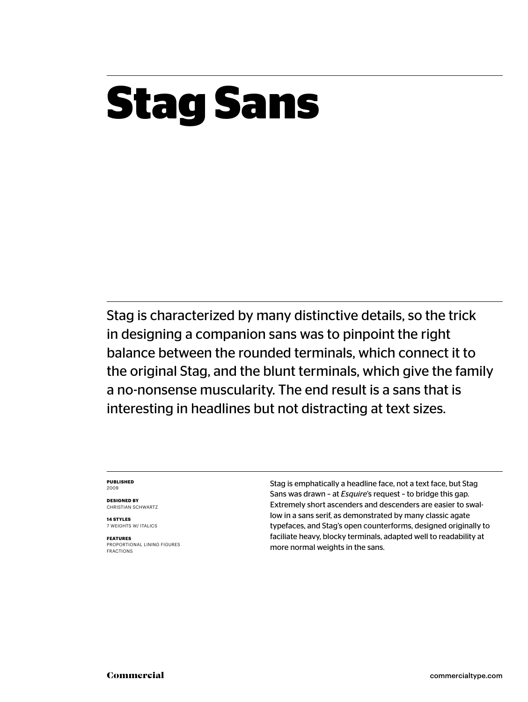### **Stag Sans**

Stag is characterized by many distinctive details, so the trick in designing a companion sans was to pinpoint the right balance between the rounded terminals, which connect it to the original Stag, and the blunt terminals, which give the family a no-nonsense muscularity. The end result is a sans that is interesting in headlines but not distracting at text sizes.

#### **PUBLISHED** 2009

**DESIGNED BY** CHRISTIAN SCHWARTZ

**14 STYLES** 7 WEIGHTS W/ ITALICS

**FEATURES** PROPORTIONAL LINING FIGURES FRACTIONS Stag is emphatically a headline face, not a text face, but Stag Sans was drawn – at *Esquire*'s request – to bridge this gap. Extremely short ascenders and descenders are easier to swallow in a sans serif, as demonstrated by many classic agate typefaces, and Stag's open counterforms, designed originally to faciliate heavy, blocky terminals, adapted well to readability at more normal weights in the sans.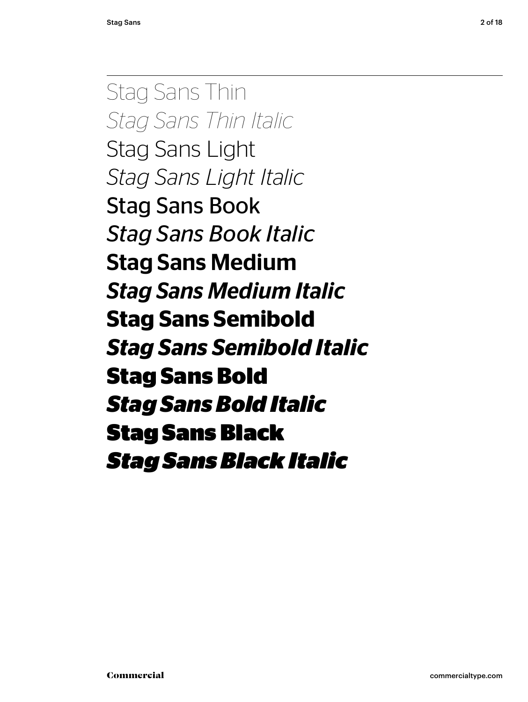Stag Sans Thin *Stag Sans Thin Italic* Stag Sans Light *Stag Sans Light Italic* Stag Sans Book *Stag Sans Book Italic* Stag Sans Medium *Stag Sans Medium Italic* **Stag Sans Semibold** *Stag Sans Semibold Italic* **Stag Sans Bold** *Stag Sans Bold Italic* Stag Sans Black *Stag Sans Black Italic*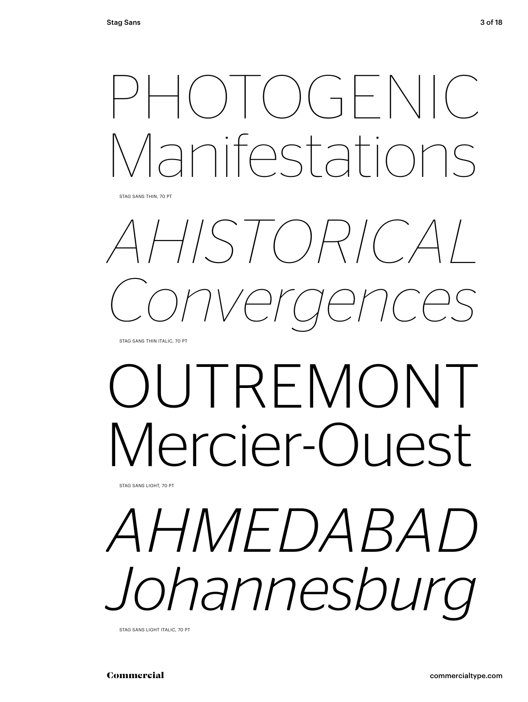## $PH()$   $()$   $\rightarrow$   $F()$ Manifestations

STAG SANS THIN, 70 PT

# *AHISTORICAL Convergences*

STAG SANS THIN ITALIC, 70 PT

# OUTREMONT Mercier-Ouest

STAG SANS LIGHT, 70 PT

## *AHMEDABAD Johannesburg*

STAG SANS LIGHT ITALIC, 70 PT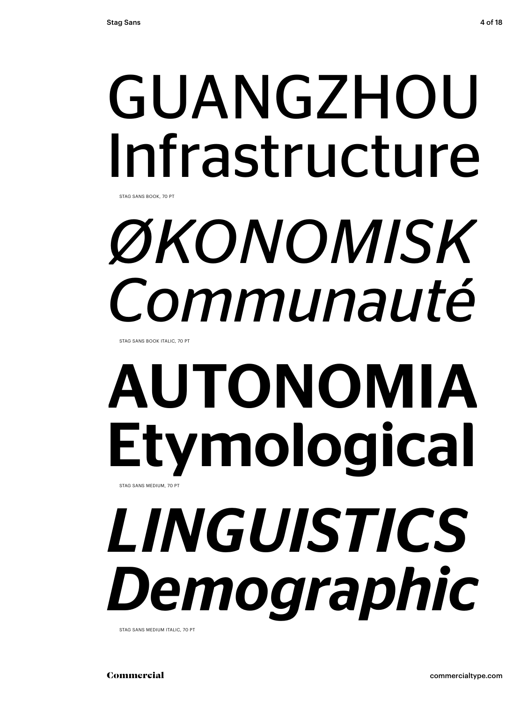## GUANGZHOU Infrastructure

STAG SANS BOOK, 70 PT

# *ØKONOMISK Communauté*

STAG SANS BOOK ITALIC, 70 PT

### AUTONOMIA Etymological STAG SANS MEDIUM, 70 PT

*LINGUISTICS Demographic*

STAG SANS MEDIUM ITALIC, 70 PT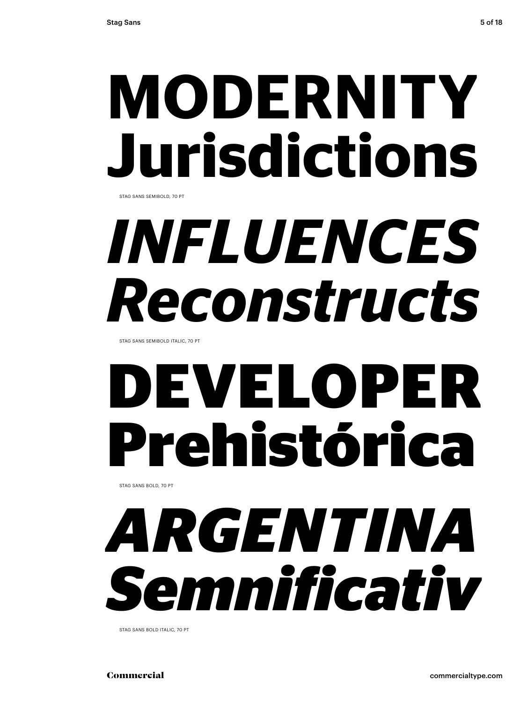# **MODERNITY Jurisdictions**

STAG SANS SEMIBOLD, 70 PT

# *INFLUENCES Reconstructs*

STAG SANS SEMIBOLD ITALIC, 70 PT

# **DEVELOPER Prehistórica**

STAG SANS BOLD, 70 PT

## *ARGENTINA Semnificativ*

STAG SANS BOLD ITALIC, 70 PT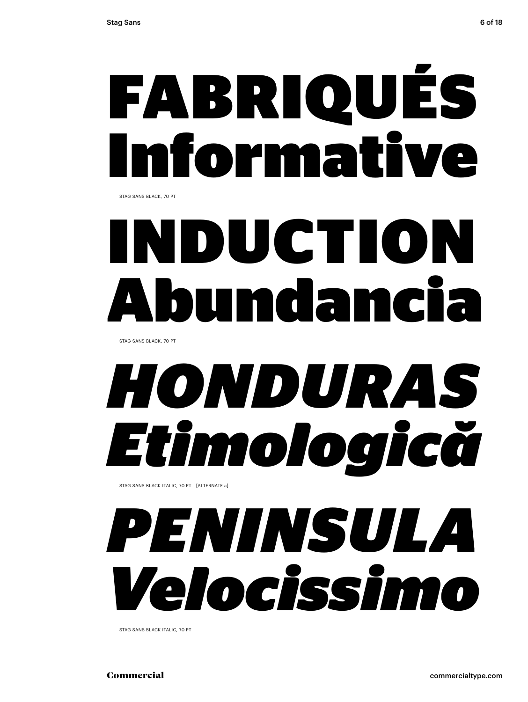# FABRIQUÉS Informative

STAG SANS BLACK, 70 PT

## DUCTIO mdan

STAG SANS BLACK, 70 PT

### *HONDURAS Etimologică* STAG SANS BLACK ITALIC, 70 PT [ALTERNATE a]

*PENINSULA Velocissimo*

STAG SANS BLACK ITALIC, 70 PT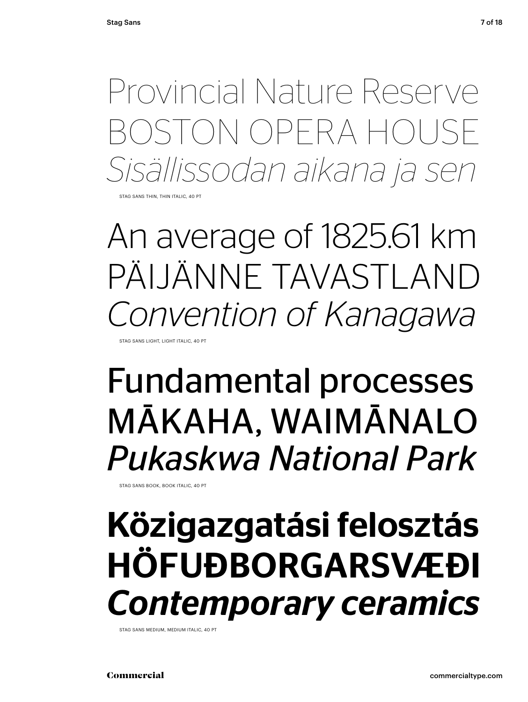Provincial Nature Reserve BOSTON OPERA HOUSE *Sisällissodan aikana ja sen*

STAG SANS THIN, THIN ITALIC, 40 PT

An average of 1825.61 km PÄIJÄNNE TAVASTLAND *Convention of Kanagawa*

STAG SANS LIGHT, LIGHT ITALIC, 40 PT

### Fundamental processes MĀKAHA, WAIMĀNALO *Pukaskwa National Park*

STAG SANS BOOK, BOOK ITALIC, 40 PT

### Közigazgatási felosztás HÖFUÐBORGARSVÆÐI *Contemporary ceramics*

STAG SANS MEDIUM, MEDIUM ITALIC, 40 PT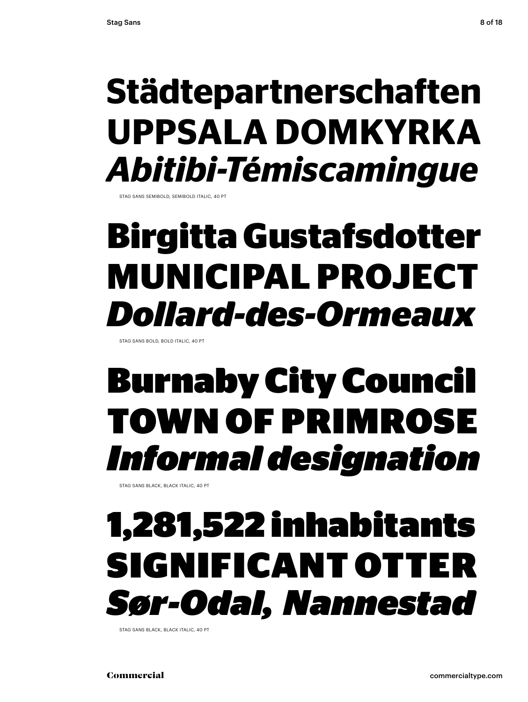### **Städtepartnerschaften UPPSALA DOMKYRKA** *Abitibi-Témiscamingue*

STAG SANS SEMIBOLD, SEMIBOLD ITALIC, 40 PT

### **Birgitta Gustafsdotter MUNICIPAL PROJECT**  *Dollard-des-Ormeaux*

STAG SANS BOLD, BOLD ITALIC, 40 PT

### Burnaby City Council TOWN OF PRIMROSE *Informal designation*

STAG SANS BLACK, BLACK ITALIC, 40 PT

### 1,281,522 inhabitants SIGNIFICANT OTTER *Sør-Odal, Nannestad*

STAG SANS BLACK, BLACK ITALIC, 40 PT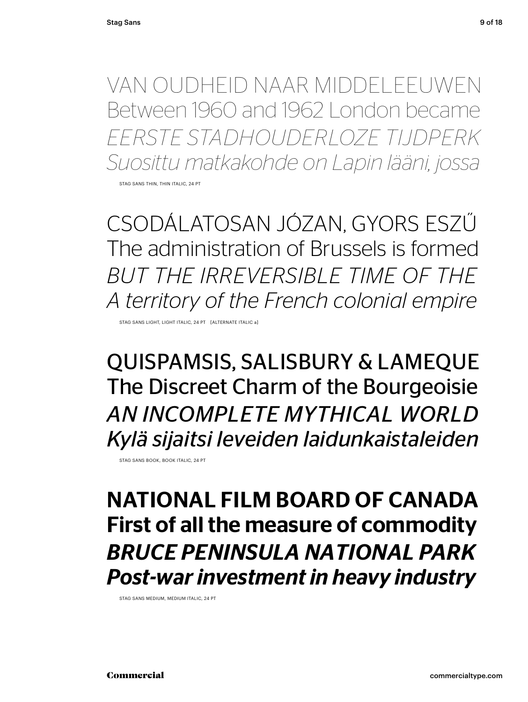VAN OUDHEID NAAR MIDDELEEUWEN Between 1960 and 1962 London became *EERSTE STADHOUDERLOZE TIJDPERK Suosittu matkakohde on Lapin lääni, jossa*

STAG SANS THIN THIN ITALIC, 24 PT

CSODÁLATOSAN JÓZAN, GYORS ESZŰ The administration of Brussels is formed *BUT THE IRREVERSIBLE TIME OF THE A territory of the French colonial empire*

STAG SANS LIGHT, LIGHT ITALIC, 24 PT [ALTERNATE ITALIC a]

QUISPAMSIS, SALISBURY & LAMEQUE The Discreet Charm of the Bourgeoisie *AN INCOMPLETE MYTHICAL WORLD Kylä sijaitsi leveiden laidunkaistaleiden*

STAG SANS BOOK, BOOK ITALIC, 24 PT

### NATIONAL FILM BOARD OF CANADA First of all the measure of commodity *BRUCE PENINSULA NATIONAL PARK Post-war investment in heavy industry*

STAG SANS MEDIUM, MEDIUM ITALIC, 24 PT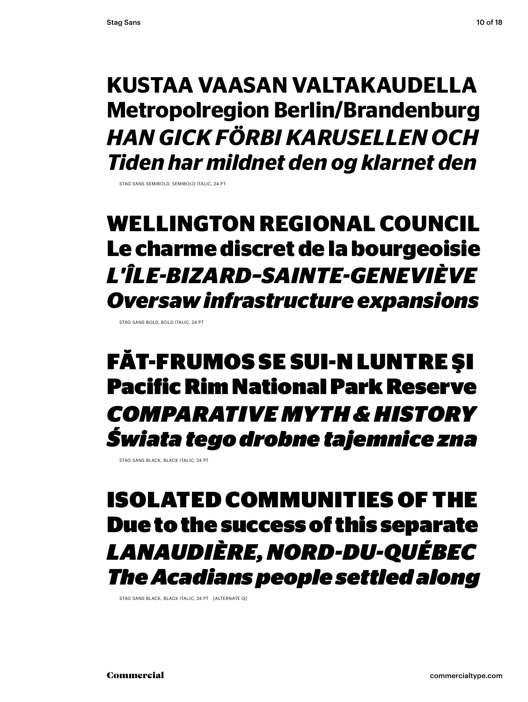### **KUSTAA VAASAN VALTAKAUDELLA Metropolregion Berlin/Brandenburg** *HAN GICK FÖRBI KARUSELLEN OCH Tiden har mildnet den og klarnet den*

STAG SANS SEMIBOLD, SEMIBOLD ITALIC, 24 PT

### **WELLINGTON REGIONAL COUNCIL Le charme discret de la bourgeoisie** *L'ÎLE-BIZARD–SAINTE-GENEVIÈVE Oversaw infrastructure expansions*

STAG SANS BOLD, BOLD ITALIC, 24 PT

FĂT-FRUMOS SE SUI-N LUNTRE ŞI Pacific Rim National Park Reserve *COMPARATIVE MYTH & HISTORY Świata tego drobne tajemnice zna* 

STAG SANS BLACK, BLACK ITALIC, 24 PT

### ISOLATED COMMUNITIES OF THE Due to the success of this separate *LANAUDIÈRE, NORD-DU-QUÉBEC The Acadians people settled along*

STAG SANS BLACK, BLACK ITALIC, 24 PT [ALTERNATE Q]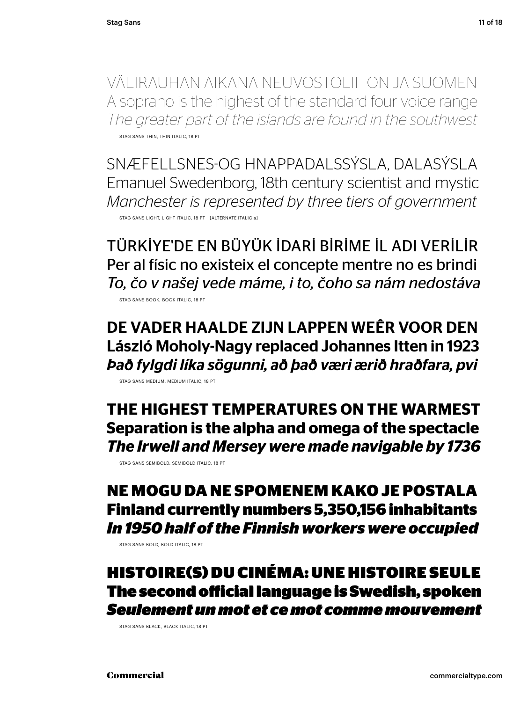VÄLIRAUHAN AIKANA NEUVOSTOLIITON JA SUOMEN A soprano is the highest of the standard four voice range *The greater part of the islands are found in the southwest* STAG SANS THIN, THIN ITALIC, 18 PT

SNÆFELLSNES-OG HNAPPADALSSÝSLA, DALASÝSLA Emanuel Swedenborg, 18th century scientist and mystic *Manchester is represented by three tiers of government* STAG SANS LIGHT, LIGHT ITALIC, 18 PT [ALTERNATE ITALIC a]

TÜRKİYE'DE EN BÜYÜK İDARİ BİRİME İL ADI VERİLİR Per al físic no existeix el concepte mentre no es brindi *To, čo v našej vede máme, i to, čoho sa nám nedostáva*

STAG SANS BOOK, BOOK ITALIC, 18 PT

DE VADER HAALDE ZIJN LAPPEN WEÊR VOOR DEN László Moholy-Nagy replaced Johannes Itten in 1923 *Það fylgdi líka sögunni, að það væri ærið hraðfara, pvi*

STAG SANS MEDIUM, MEDIUM ITALIC, 18 PT

**THE HIGHEST TEMPERATURES ON THE WARMEST Separation is the alpha and omega of the spectacle** *The Irwell and Mersey were made navigable by 1736*

STAG SANS SEMIBOLD, SEMIBOLD ITALIC, 18 PT

#### **NE MOGU DA NE SPOMENEM KAKO JE POSTALA Finland currently numbers 5,350,156 inhabitants** *In 1950 half of the Finnish workers were occupied*

STAG SANS BOLD, BOLD ITALIC, 18 PT

#### HISTOIRE(S) DU CINÉMA: UNE HISTOIRE SEULE The second official language is Swedish, spoken *Seulement un mot et ce mot comme mouvement*

STAG SANS BLACK, BLACK ITALIC, 18 PT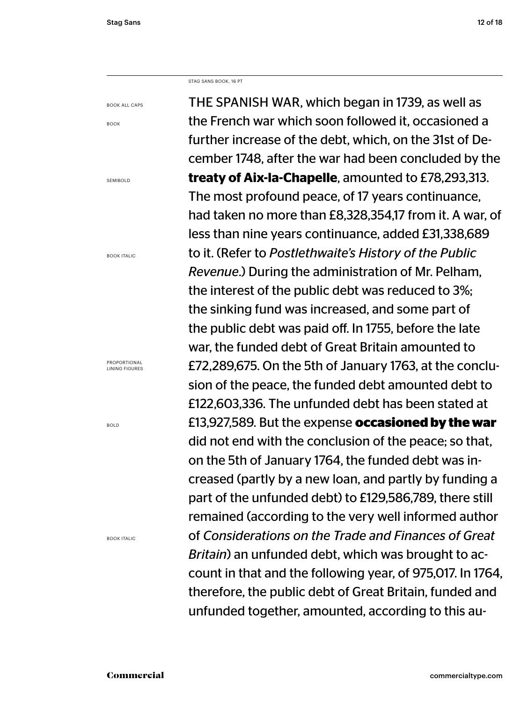STAG SANS BOOK, 16 PT

BOOK ALL CAPS

BOOK

SEMIBOLD

BOOK ITALIC

PROPORTIONAL LINING FIGURES

BOLD

BOOK ITALIC

THE SPANISH WAR, which began in 1739, as well as the French war which soon followed it, occasioned a further increase of the debt, which, on the 31st of December 1748, after the war had been concluded by the **treaty of Aix-la-Chapelle**, amounted to £78,293,313. The most profound peace, of 17 years continuance, had taken no more than £8,328,354,17 from it. A war, of less than nine years continuance, added £31,338,689 to it. (Refer to *Postlethwaite's History of the Public Revenue*.) During the administration of Mr. Pelham, the interest of the public debt was reduced to 3%; the sinking fund was increased, and some part of the public debt was paid off. In 1755, before the late war, the funded debt of Great Britain amounted to £72,289,675. On the 5th of January 1763, at the conclusion of the peace, the funded debt amounted debt to £122,603,336. The unfunded debt has been stated at £13,927,589. But the expense **occasioned by the war** did not end with the conclusion of the peace; so that, on the 5th of January 1764, the funded debt was increased (partly by a new loan, and partly by funding a part of the unfunded debt) to £129,586,789, there still remained (according to the very well informed author of *Considerations on the Trade and Finances of Great Britain*) an unfunded debt, which was brought to account in that and the following year, of 975,017. In 1764, therefore, the public debt of Great Britain, funded and unfunded together, amounted, according to this au-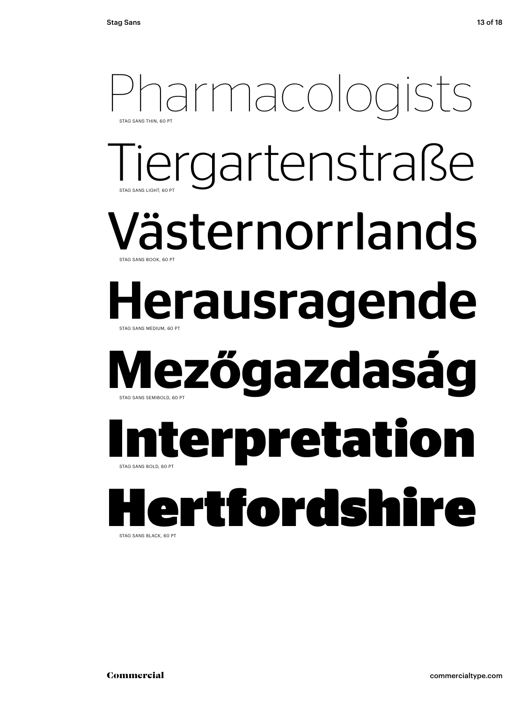### Pharmacologists STAG SANS LIGHT, 60 PT STAG SANS THIN, 60 P iergartenstraße Västernorrlands STAG SANS MEDIUM, 60 PT STAG SANS BOOK, 60 PT Herausragende **Mezőgazdaság** STAG SANS BOLD, 60 PT STAG SANS SEMIBOLD, 60 PT **Interpretation** Hertfordshire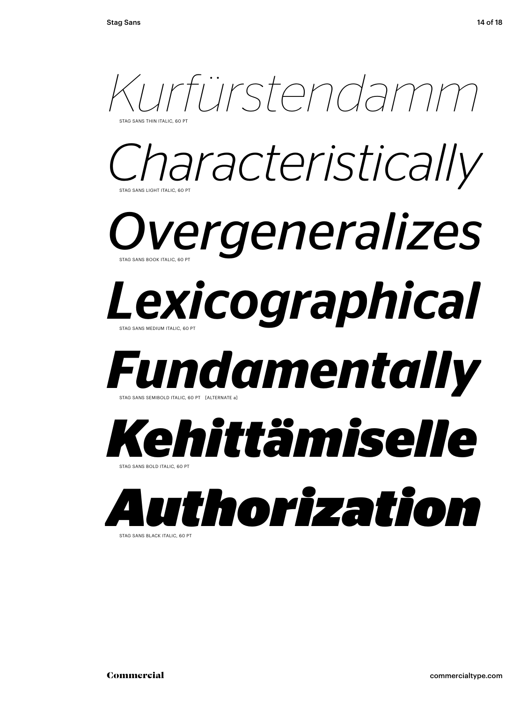

STAG SANS BLACK ITALIC, 60 PT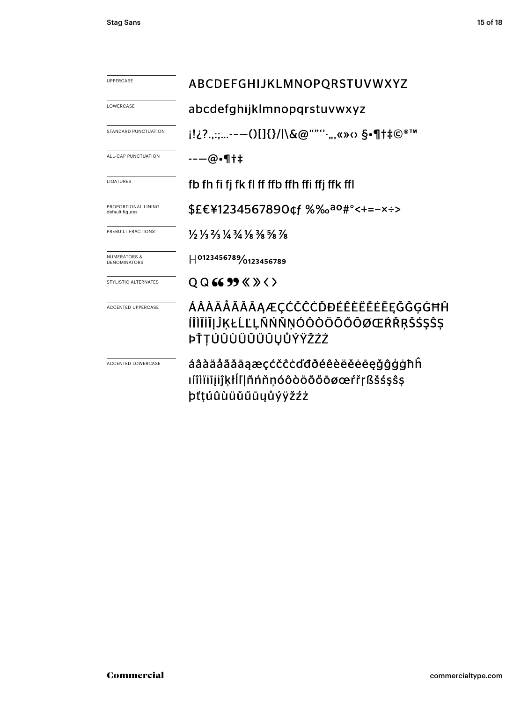| <b>UPPERCASE</b>                        | ABCDEFGHIJKLMNOPQRSTUVWXYZ                                                                                                    |  |  |
|-----------------------------------------|-------------------------------------------------------------------------------------------------------------------------------|--|--|
| LOWERCASE                               | abcdefghijklmnopgrstuvwxyz                                                                                                    |  |  |
| STANDARD PUNCTUATION                    | j!¿?.,:;--—()[]{}/ \&@""''·,,«»<> §•¶†‡©®™                                                                                    |  |  |
| ALL-CAP PUNCTUATION                     | --—@•¶†‡                                                                                                                      |  |  |
| <b>LIGATURES</b>                        | fb fh fi fj fk fl ff ffb ffh ffi ffj ffk ffl                                                                                  |  |  |
| PROPORTIONAL LINING<br>default figures  | \$£€¥1234567890¢f %‰ao#°<+=-x÷>                                                                                               |  |  |
| PREBUILT FRACTIONS                      | $\frac{1}{2}$ $\frac{1}{3}$ $\frac{2}{3}$ $\frac{1}{4}$ $\frac{3}{4}$ $\frac{1}{8}$ $\frac{3}{8}$ $\frac{5}{8}$ $\frac{7}{8}$ |  |  |
| <b>NUMERATORS &amp;</b><br>DENOMINATORS | H0123456789/0123456789                                                                                                        |  |  |
| STYLISTIC ALTERNATES                    | $Q$ Q 66 99 $\langle \rangle$ $\rangle$ $\langle \rangle$                                                                     |  |  |
| <b>ACCENTED UPPERCASE</b>               | ÁÂÀÄĂÃĂĀĄÆÇĆČĈĊĎĐÉÊÈËĔĔĒĘĞĜĢĠĦĤ<br>ÍÎÌÏIIJĴĶŁĹĽĻÑŃŇŅÓÔÒÖŐŐŌØŒŔŘŖŠŚŞŜŞ<br>ÞŤŢÚÛÙÜŬŰŨŲŮÝŸŽŹŻ                                    |  |  |
| <b>ACCENTED LOWERCASE</b>               | áâàäåããāąæçćčĉċďđðéêèëěėēęğĝģġħĥ<br>ımıïijijkłĺľļñńňnóôòöõőōøœŕřŗßšśşŝş<br>þťtúûùüŭűūyůýÿžźż                                  |  |  |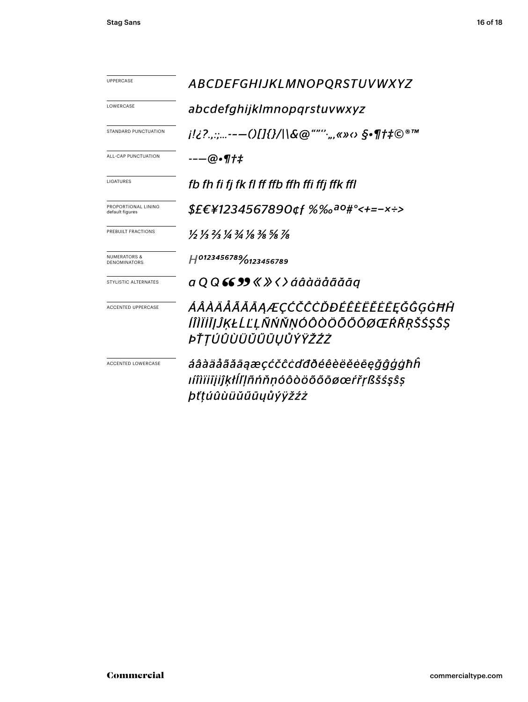| <b>UPPERCASE</b>                               | <b>ABCDEFGHIJKLMNOPQRSTUVWXYZ</b>                                                                                             |  |
|------------------------------------------------|-------------------------------------------------------------------------------------------------------------------------------|--|
| LOWERCASE                                      | abcdefghijklmnopgrstuvwxyz                                                                                                    |  |
| STANDARD PUNCTUATION                           | j!¿?.,:;---()[]{}/ \&@""'`;,,«»‹› §•¶†‡©®™                                                                                    |  |
| ALL-CAP PUNCTUATION                            | --—@•¶†‡                                                                                                                      |  |
| LIGATURES                                      | fb fh fi fj fk fl ff ffb ffh ffi ffj ffk ffl                                                                                  |  |
| PROPORTIONAL LINING<br>default figures         | \$£€¥1234567890¢f %‰ <sup>ao</sup> #°<+=-×÷>                                                                                  |  |
| PREBUILT FRACTIONS                             | $\frac{1}{2}$ $\frac{1}{3}$ $\frac{2}{3}$ $\frac{1}{4}$ $\frac{3}{4}$ $\frac{1}{8}$ $\frac{3}{8}$ $\frac{5}{8}$ $\frac{7}{8}$ |  |
| <b>NUMERATORS &amp;</b><br><b>DENOMINATORS</b> | H0123456789/0123456789                                                                                                        |  |
| STYLISTIC ALTERNATES                           | $a$ Q Q 66 99 « » < > áâàäååããā $q$                                                                                           |  |
| <b>ACCENTED UPPERCASE</b>                      | ÁÂÀÄĂĂĂĂĀĄÆÇĆČĈĊĎĐÉÊÈËĔĔĒĔĞĜĢĠĦĤ<br>ÍÎÌÏİĪJĴĶŁĹĽĻÑŃŇŅÓÔÒÖÕŐŌØŒŔŘŖŠŚŞŜŞ<br>ÞŤTÚÛÙÜŬŰŨŪŲŮÝŸŽŹŻ                                  |  |
| <b>ACCENTED LOWERCASE</b>                      | áâàäåããāąæçćčĉċďđðéêèëěēeğĝģġħĥ<br>ıíîìïiījiĵķłĺľļñńňṇóôòöõőōøœŕřṛßšśşŝṣ<br>þťtúûùüŭűūųůýÿžźż                                 |  |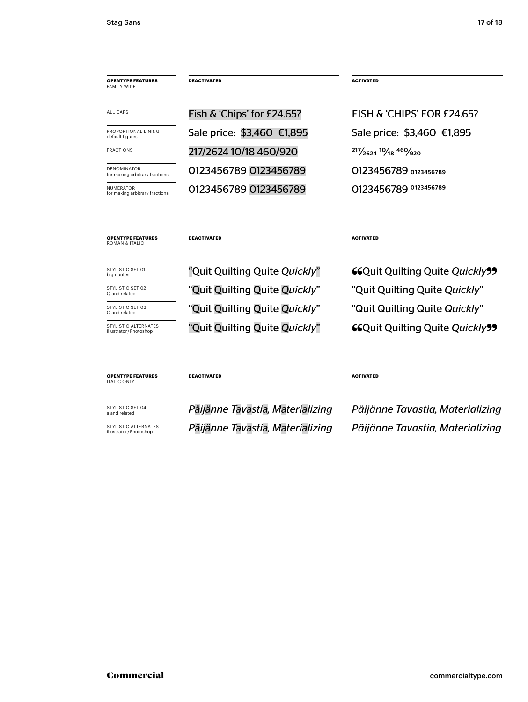| <b>OPENTYPE FEATURES</b><br><b>FAMILY WIDE</b>       | <b>DEACTIVATED</b>         | <b>ACTIVATED</b>             |
|------------------------------------------------------|----------------------------|------------------------------|
| <b>ALL CAPS</b>                                      | Fish & 'Chips' for £24.65? | FISH & 'CHIPS' FOR £24,65?   |
| PROPORTIONAL LINING<br>default figures               | Sale price: \$3,460 €1,895 | Sale price: \$3,460 €1,895   |
| <b>FRACTIONS</b>                                     | 217/2624 10/18 460/920     | $217/2624$ $10/18$ $460/920$ |
| <b>DENOMINATOR</b><br>for making arbitrary fractions | 0123456789 0123456789      | 0123456789 0123456789        |
| <b>NUMERATOR</b><br>for making arbitrary fractions   | 0123456789 0123456789      | 0123456789 0123456789        |
|                                                      |                            |                              |

**OPENTYPE FEATURES** ROMAN & ITALIC

#### **DEACTIVATED ACTIVATED**

big quotes

Illustrator / Photoshop

STYLISTIC SET 02 **SET 02** "Quit Quilting Quite *Quickly*" "Quit Quilting Quite *Quickly*" "Quit Quilting Quite Quickly" STYLISTIC SET 03 **STARK SOM THE** *Quit Quilting Quite <i>Quickly***"** "Quit Quilting Quite *Quickly*"

STYLISTIC SET 01 "<sup>THE "</sup>Quit Quilting Quite *Quickly*" **"** " STYLISTIC ALTERNATES "Quit Quilting Quite *Quickly*" **66 Quit Quilting Quite** *Quickly* **99** 

**OPENTYPE FEATURES** ITALIC ONLY

a and related *Päijänne Tavastia, Materializing* Illustrator / Photoshop *Päijänne Tavastia, Materializing*

**DEACTIVATED ACTIVATED** 

*STYLISTIC SET 04 Päijänne Tavastia, Materializing Päijänne Tavastia, Materializing* **STYLISTIC ALTERNATES**<br>Illustrator/Photoshop